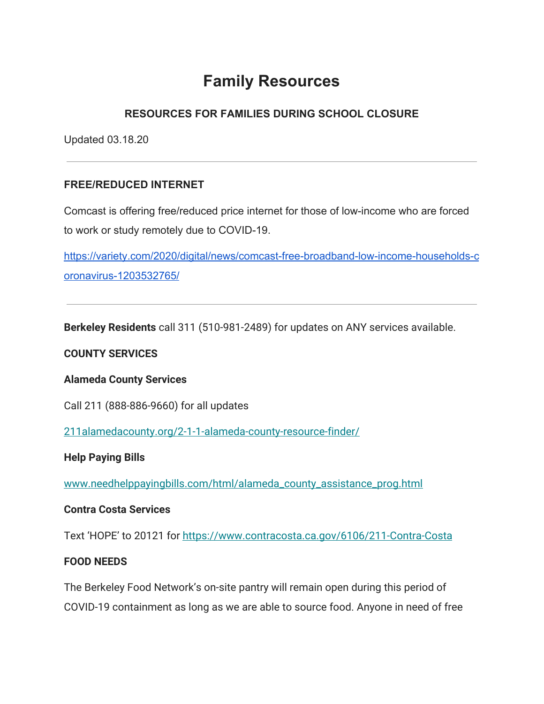# **Family Resources**

# **RESOURCES FOR FAMILIES DURING SCHOOL CLOSURE**

Updated 03.18.20

## **FREE/REDUCED INTERNET**

Comcast is offering free/reduced price internet for those of low-income who are forced to work or study remotely due to COVID-19.

[https://variety.com/2020/digital/news/comcast-free-broadband-low-income-households-c](https://variety.com/2020/digital/news/comcast-free-broadband-low-income-households-coronavirus-1203532765/) [oronavirus-1203532765/](https://variety.com/2020/digital/news/comcast-free-broadband-low-income-households-coronavirus-1203532765/)

**Berkeley Residents** call 311 (510-981-2489) for updates on ANY services available.

## **COUNTY SERVICES**

#### **Alameda County Services**

Call 211 (888-886-9660) for all updates

[211alamedacounty.org/2-1-1-alameda-county-resource-finder/](https://malcolmxelementary.us4.list-manage.com/track/click?u=5f994e434e3f3c9e89e84e752&id=2c9391b759&e=1b27e7c2e5)

## **Help Paying Bills**

[www.needhelppayingbills.com/html/alameda\\_county\\_assistance\\_prog.html](https://malcolmxelementary.us4.list-manage.com/track/click?u=5f994e434e3f3c9e89e84e752&id=cb987be68e&e=1b27e7c2e5)

#### **Contra Costa Services**

Text 'HOPE' to 20121 for [https://www.contracosta.ca.gov/6106/211-Contra-Costa](https://malcolmxelementary.us4.list-manage.com/track/click?u=5f994e434e3f3c9e89e84e752&id=1156432038&e=1b27e7c2e5)

## **FOOD NEEDS**

The Berkeley Food Network's on-site pantry will remain open during this period of COVID-19 containment as long as we are able to source food. Anyone in need of free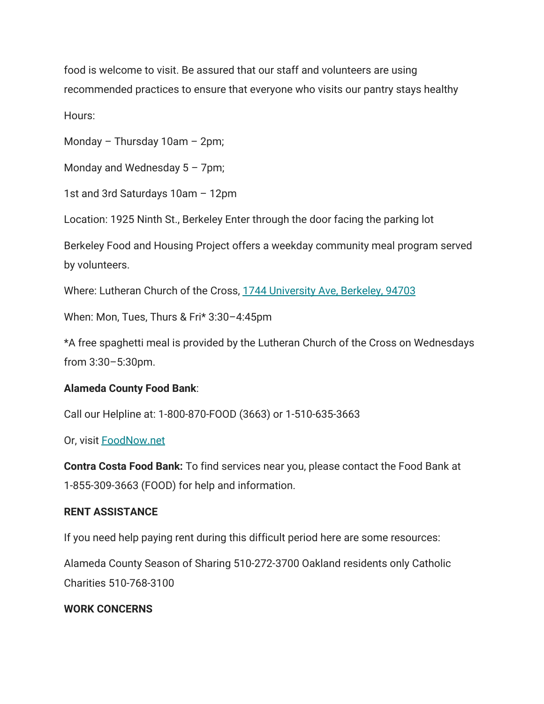food is welcome to visit. Be assured that our staff and volunteers are using recommended practices to ensure that everyone who visits our pantry stays healthy Hours:

Monday – Thursday 10am – 2pm;

Monday and Wednesday 5 – 7pm;

1st and 3rd Saturdays 10am – 12pm

Location: 1925 Ninth St., Berkeley Enter through the door facing the parking lot

Berkeley Food and Housing Project offers a weekday community meal program served by volunteers.

Where: Lutheran Church of the Cross, [1744 University Ave, Berkeley, 94703](https://malcolmxelementary.us4.list-manage.com/track/click?u=5f994e434e3f3c9e89e84e752&id=0df0d1be41&e=1b27e7c2e5)

When: Mon, Tues, Thurs & Fri\* 3:30–4:45pm

\*A free spaghetti meal is provided by the Lutheran Church of the Cross on Wednesdays from 3:30–5:30pm.

## **Alameda County Food Bank**:

Call our Helpline at: 1-800-870-FOOD (3663) or 1-510-635-3663

Or, visit [FoodNow.net](https://malcolmxelementary.us4.list-manage.com/track/click?u=5f994e434e3f3c9e89e84e752&id=8e20be1e35&e=1b27e7c2e5)

**Contra Costa Food Bank:** To find services near you, please contact the Food Bank at 1-855-309-3663 (FOOD) for help and information.

#### **RENT ASSISTANCE**

If you need help paying rent during this difficult period here are some resources:

Alameda County Season of Sharing 510-272-3700 Oakland residents only Catholic Charities 510-768-3100

## **WORK CONCERNS**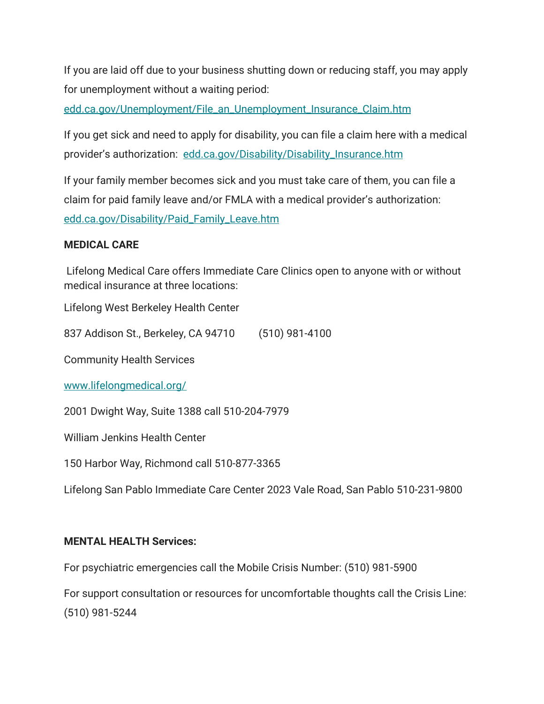If you are laid off due to your business shutting down or reducing staff, you may apply for unemployment without a waiting period:

[edd.ca.gov/Unemployment/File\\_an\\_Unemployment\\_Insurance\\_Claim.htm](https://malcolmxelementary.us4.list-manage.com/track/click?u=5f994e434e3f3c9e89e84e752&id=45c0d34e94&e=1b27e7c2e5)

If you get sick and need to apply for disability, you can file a claim here with a medical provider's authorization: [edd.ca.gov/Disability/Disability\\_Insurance.htm](https://malcolmxelementary.us4.list-manage.com/track/click?u=5f994e434e3f3c9e89e84e752&id=76d8ac138a&e=1b27e7c2e5)

If your family member becomes sick and you must take care of them, you can file a claim for paid family leave and/or FMLA with a medical provider's authorization: [edd.ca.gov/Disability/Paid\\_Family\\_Leave.htm](https://malcolmxelementary.us4.list-manage.com/track/click?u=5f994e434e3f3c9e89e84e752&id=ad9e10fa99&e=1b27e7c2e5)

## **MEDICAL CARE**

 Lifelong Medical Care offers Immediate Care Clinics open to anyone with or without medical insurance at three locations:

Lifelong West Berkeley Health Center

837 Addison St., Berkeley, CA 94710 (510) 981-4100

Community Health Services

[www.lifelongmedical.org/](https://malcolmxelementary.us4.list-manage.com/track/click?u=5f994e434e3f3c9e89e84e752&id=79e4a9f61c&e=1b27e7c2e5)

2001 Dwight Way, Suite 1388 call 510-204-7979

William Jenkins Health Center

150 Harbor Way, Richmond call 510-877-3365

Lifelong San Pablo Immediate Care Center 2023 Vale Road, San Pablo 510-231-9800

## **MENTAL HEALTH Services:**

For psychiatric emergencies call the Mobile Crisis Number: (510) 981-5900

For support consultation or resources for uncomfortable thoughts call the Crisis Line: (510) 981-5244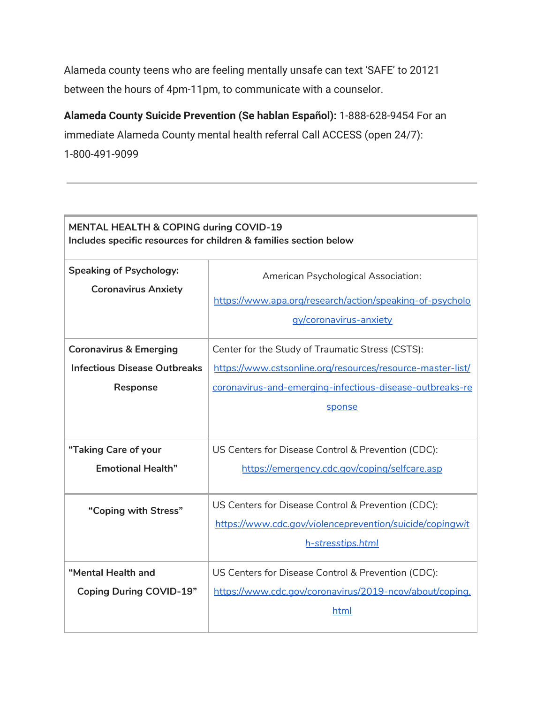Alameda county teens who are feeling mentally unsafe can text 'SAFE' to 20121 between the hours of 4pm-11pm, to communicate with a counselor.

**Alameda County Suicide Prevention (Se hablan Español):** 1-888-628-9454 For an immediate Alameda County mental health referral Call ACCESS (open 24/7): 1-800-491-9099

| MENTAL HEALTH & COPING during COVID-19<br>Includes specific resources for children & families section below |                                                                                                                                                                                      |
|-------------------------------------------------------------------------------------------------------------|--------------------------------------------------------------------------------------------------------------------------------------------------------------------------------------|
| <b>Speaking of Psychology:</b><br><b>Coronavirus Anxiety</b>                                                | American Psychological Association:<br>https://www.apa.org/research/action/speaking-of-psycholo<br>gy/coronavirus-anxiety                                                            |
| <b>Coronavirus &amp; Emerging</b><br><b>Infectious Disease Outbreaks</b><br><b>Response</b>                 | Center for the Study of Traumatic Stress (CSTS):<br>https://www.cstsonline.org/resources/resource-master-list/<br>coronavirus-and-emerging-infectious-disease-outbreaks-re<br>sponse |
| "Taking Care of your<br><b>Emotional Health"</b>                                                            | US Centers for Disease Control & Prevention (CDC):<br>https://emergency.cdc.gov/coping/selfcare.asp                                                                                  |
| "Coping with Stress"                                                                                        | US Centers for Disease Control & Prevention (CDC):<br>https://www.cdc.gov/violenceprevention/suicide/copingwit<br>h-stresstips.html                                                  |
| "Mental Health and<br><b>Coping During COVID-19"</b>                                                        | US Centers for Disease Control & Prevention (CDC):<br>https://www.cdc.gov/coronavirus/2019-ncov/about/coping.<br>html                                                                |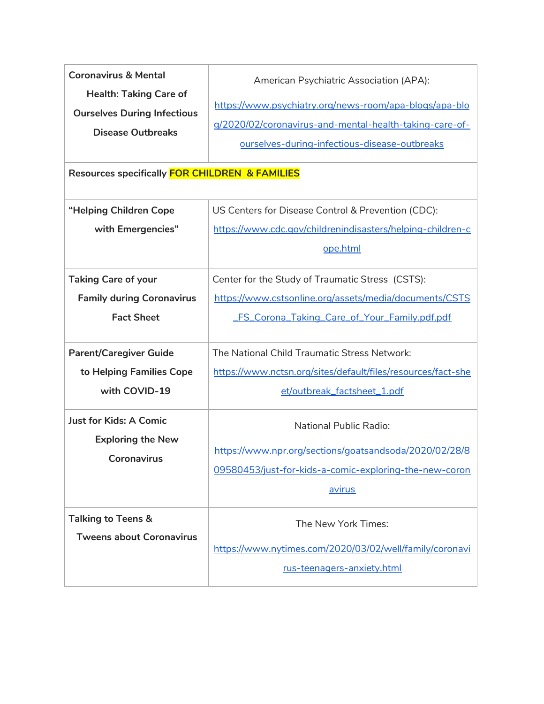| <b>Coronavirus &amp; Mental</b><br><b>Health: Taking Care of</b><br><b>Ourselves During Infectious</b><br><b>Disease Outbreaks</b><br><b>Resources specifically FOR CHILDREN &amp; FAMILIES</b> | American Psychiatric Association (APA):<br>https://www.psychiatry.org/news-room/apa-blogs/apa-blo<br>g/2020/02/coronavirus-and-mental-health-taking-care-of-<br>ourselves-during-infectious-disease-outbreaks |
|-------------------------------------------------------------------------------------------------------------------------------------------------------------------------------------------------|---------------------------------------------------------------------------------------------------------------------------------------------------------------------------------------------------------------|
| "Helping Children Cope<br>with Emergencies"                                                                                                                                                     | US Centers for Disease Control & Prevention (CDC):<br>https://www.cdc.gov/childrenindisasters/helping-children-c<br>ope.html                                                                                  |
| <b>Taking Care of your</b><br><b>Family during Coronavirus</b><br><b>Fact Sheet</b>                                                                                                             | Center for the Study of Traumatic Stress (CSTS):<br>https://www.cstsonline.org/assets/media/documents/CSTS<br><b>_FS_Corona_Taking_Care_of_Your_Family.pdf.pdf</b>                                            |
| <b>Parent/Caregiver Guide</b><br>to Helping Families Cope<br>with COVID-19                                                                                                                      | The National Child Traumatic Stress Network:<br>https://www.nctsn.org/sites/default/files/resources/fact-she<br>et/outbreak_factsheet_1.pdf                                                                   |
| <b>Just for Kids: A Comic</b><br><b>Exploring the New</b><br>Coronavirus                                                                                                                        | National Public Radio:<br>https://www.npr.org/sections/goatsandsoda/2020/02/28/8<br>09580453/just-for-kids-a-comic-exploring-the-new-coron<br>avirus                                                          |
| <b>Talking to Teens &amp;</b><br><b>Tweens about Coronavirus</b>                                                                                                                                | The New York Times:<br>https://www.nytimes.com/2020/03/02/well/family/coronavi<br>rus-teenagers-anxiety.html                                                                                                  |